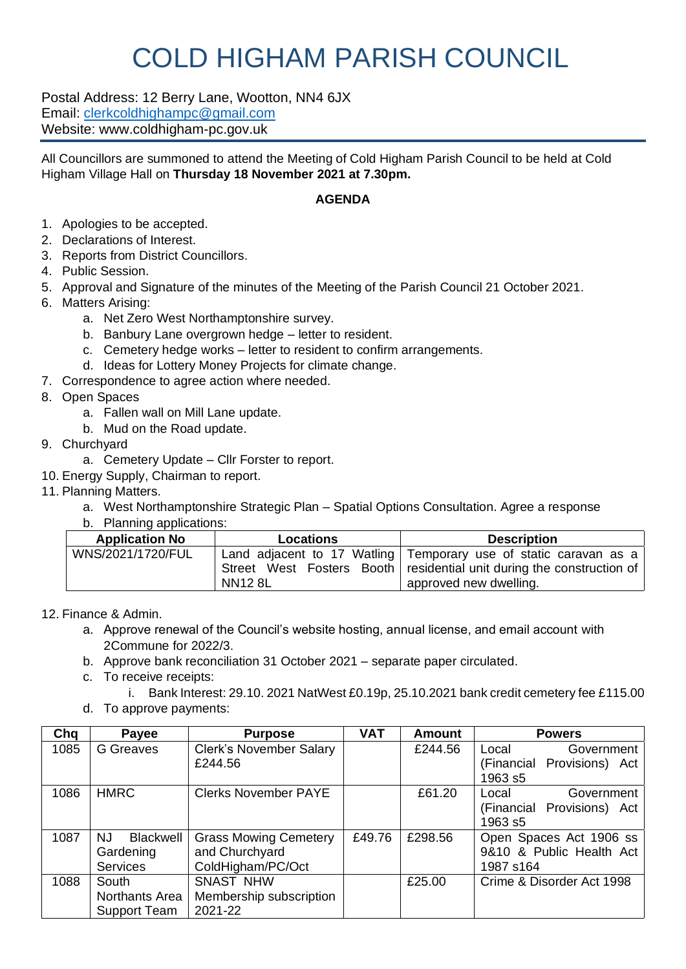## COLD HIGHAM PARISH COUNCIL

Postal Address: 12 Berry Lane, Wootton, NN4 6JX Email: [clerkcoldhighampc@gmail.com](mailto:clerkcoldhighampc@gmail.com) Website: www.coldhigham-pc.gov.uk

All Councillors are summoned to attend the Meeting of Cold Higham Parish Council to be held at Cold Higham Village Hall on **Thursday 18 November 2021 at 7.30pm.**

## **AGENDA**

- 1. Apologies to be accepted.
- 2. Declarations of Interest.
- 3. Reports from District Councillors.
- 4. Public Session.
- 5. Approval and Signature of the minutes of the Meeting of the Parish Council 21 October 2021.
- 6. Matters Arising:
	- a. Net Zero West Northamptonshire survey.
	- b. Banbury Lane overgrown hedge letter to resident.
	- c. Cemetery hedge works letter to resident to confirm arrangements.
	- d. Ideas for Lottery Money Projects for climate change.
- 7. Correspondence to agree action where needed.
- 8. Open Spaces
	- a. Fallen wall on Mill Lane update.
	- b. Mud on the Road update.
- 9. Churchyard
	- a. Cemetery Update Cllr Forster to report.
- 10. Energy Supply, Chairman to report.
- 11. Planning Matters.
	- a. West Northamptonshire Strategic Plan Spatial Options Consultation. Agree a response
	- b. Planning applications:

| <b>Application No</b> | <b>Locations</b> | <b>Description</b>                                                                                                                                                    |
|-----------------------|------------------|-----------------------------------------------------------------------------------------------------------------------------------------------------------------------|
| WNS/2021/1720/FUL     | <b>NN12 8L</b>   | Land adjacent to 17 Watling Temporary use of static caravan as a<br>Street West Fosters Booth   residential unit during the construction of<br>approved new dwelling. |

12. Finance & Admin.

- a. Approve renewal of the Council's website hosting, annual license, and email account with 2Commune for 2022/3.
- b. Approve bank reconciliation 31 October 2021 separate paper circulated.
- c. To receive receipts:
	- i. Bank Interest: 29.10. 2021 NatWest £0.19p, 25.10.2021 bank credit cemetery fee £115.00
- d. To approve payments:

| Chq  | Payee                   | <b>Purpose</b>                 | <b>VAT</b> | <b>Amount</b> | <b>Powers</b>                 |
|------|-------------------------|--------------------------------|------------|---------------|-------------------------------|
| 1085 | <b>G</b> Greaves        | <b>Clerk's November Salary</b> |            | £244.56       | Local<br>Government           |
|      |                         | £244.56                        |            |               | Provisions) Act<br>(Financial |
|      |                         |                                |            |               | 1963 s5                       |
| 1086 | <b>HMRC</b>             | <b>Clerks November PAYE</b>    |            | £61.20        | Government<br>Local           |
|      |                         |                                |            |               | (Financial Provisions) Act    |
|      |                         |                                |            |               | 1963 s5                       |
| 1087 | <b>Blackwell</b><br>NJ. | <b>Grass Mowing Cemetery</b>   | £49.76     | £298.56       | Open Spaces Act 1906 ss       |
|      | Gardening               | and Churchyard                 |            |               | 9&10 & Public Health Act      |
|      | <b>Services</b>         | ColdHigham/PC/Oct              |            |               | 1987 s164                     |
| 1088 | South                   | <b>SNAST NHW</b>               |            | £25.00        | Crime & Disorder Act 1998     |
|      | Northants Area          | Membership subscription        |            |               |                               |
|      | Support Team            | 2021-22                        |            |               |                               |